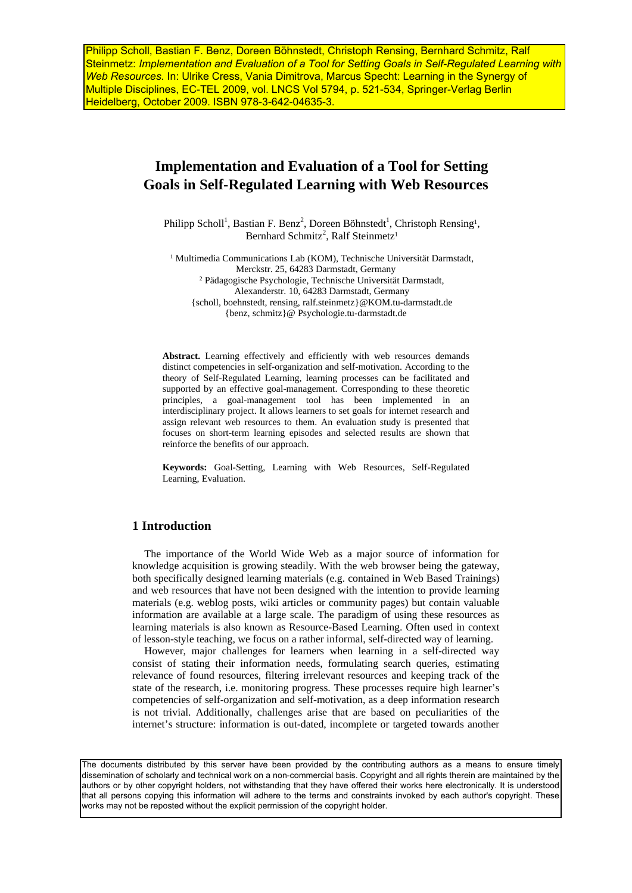Philipp Scholl, Bastian F. Benz, Doreen Böhnstedt, Christoph Rensing, Bernhard Schmitz, Ralf Steinmetz: *Implementation and Evaluation of a Tool for Setting Goals in Self-Regulated Learning with Web Resources.* In: Ulrike Cress, Vania Dimitrova, Marcus Specht: Learning in the Synergy of Multiple Disciplines, EC-TEL 2009, vol. LNCS Vol 5794, p. 521-534, Springer-Verlag Berlin Heidelberg, October 2009. ISBN 978-3-642-04635-3.

# **Implementation and Evaluation of a Tool for Setting Goals in Self-Regulated Learning with Web Resources**

Philipp Scholl<sup>1</sup>, Bastian F. Benz<sup>2</sup>, Doreen Böhnstedt<sup>1</sup>, Christoph Rensing<sup>1</sup>, Bernhard Schmitz<sup>2</sup>, Ralf Steinmetz<sup>1</sup>

<sup>1</sup> Multimedia Communications Lab (KOM), Technische Universität Darmstadt, Merckstr. 25, 64283 Darmstadt, Germany 2 Pädagogische Psychologie, Technische Universität Darmstadt, Alexanderstr. 10, 64283 Darmstadt, Germany {scholl, boehnstedt, rensing, ralf.steinmetz}@KOM.tu-darmstadt.de {benz, schmitz}@ Psychologie.tu-darmstadt.de

Abstract. Learning effectively and efficiently with web resources demands distinct competencies in self-organization and self-motivation. According to the theory of Self-Regulated Learning, learning processes can be facilitated and supported by an effective goal-management. Corresponding to these theoretic principles, a goal-management tool has been implemented in an interdisciplinary project. It allows learners to set goals for internet research and assign relevant web resources to them. An evaluation study is presented that focuses on short-term learning episodes and selected results are shown that reinforce the benefits of our approach.

**Keywords:** Goal-Setting, Learning with Web Resources, Self-Regulated Learning, Evaluation.

## **1 Introduction**

The importance of the World Wide Web as a major source of information for knowledge acquisition is growing steadily. With the web browser being the gateway, both specifically designed learning materials (e.g. contained in Web Based Trainings) and web resources that have not been designed with the intention to provide learning materials (e.g. weblog posts, wiki articles or community pages) but contain valuable information are available at a large scale. The paradigm of using these resources as learning materials is also known as Resource-Based Learning. Often used in context of lesson-style teaching, we focus on a rather informal, self-directed way of learning.

However, major challenges for learners when learning in a self-directed way consist of stating their information needs, formulating search queries, estimating relevance of found resources, filtering irrelevant resources and keeping track of the state of the research, i.e. monitoring progress. These processes require high learner's competencies of self-organization and self-motivation, as a deep information research is not trivial. Additionally, challenges arise that are based on peculiarities of the internet's structure: information is out-dated, incomplete or targeted towards another

The documents distributed by this server have been provided by the contributing authors as a means to ensure timely dissemination of scholarly and technical work on a non-commercial basis. Copyright and all rights therein are maintained by the authors or by other copyright holders, not withstanding that they have offered their works here electronically. It is understood that all persons copying this information will adhere to the terms and constraints invoked by each author's copyright. These works may not be reposted without the explicit permission of the copyright holder.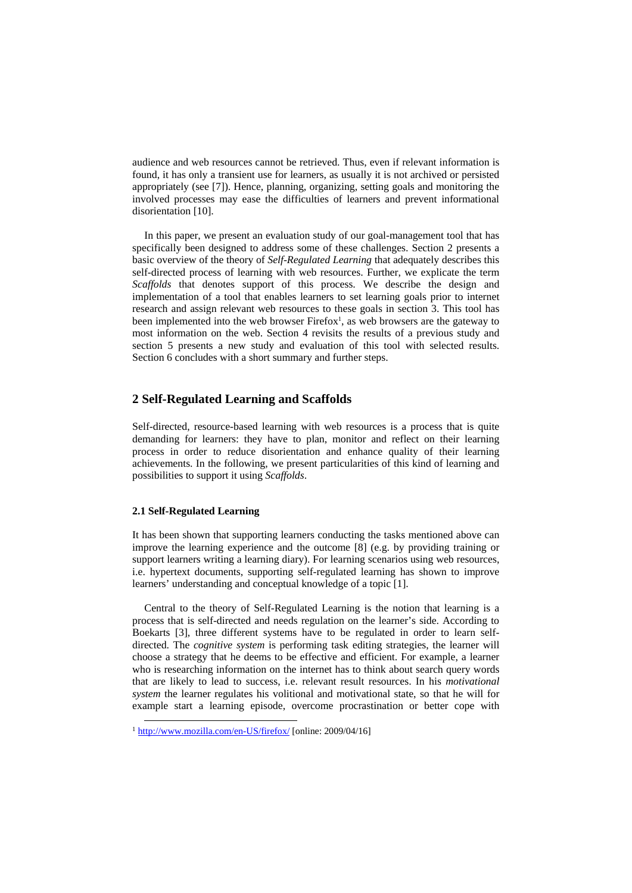audience and web resources cannot be retrieved. Thus, even if relevant information is found, it has only a transient use for learners, as usually it is not archived or persisted appropriately (see [7]). Hence, planning, organizing, setting goals and monitoring the involved processes may ease the difficulties of learners and prevent informational disorientation [10].

In this paper, we present an evaluation study of our goal-management tool that has specifically been designed to address some of these challenges. Section 2 presents a basic overview of the theory of *Self-Regulated Learning* that adequately describes this self-directed process of learning with web resources. Further, we explicate the term *Scaffolds* that denotes support of this process. We describe the design and implementation of a tool that enables learners to set learning goals prior to internet research and assign relevant web resources to these goals in section 3. This tool has been implemented into the web browser Firefox<sup>1</sup>, as web browsers are the gateway to most information on the web. Section 4 revisits the results of a previous study and section 5 presents a new study and evaluation of this tool with selected results. Section 6 concludes with a short summary and further steps.

# **2 Self-Regulated Learning and Scaffolds**

Self-directed, resource-based learning with web resources is a process that is quite demanding for learners: they have to plan, monitor and reflect on their learning process in order to reduce disorientation and enhance quality of their learning achievements. In the following, we present particularities of this kind of learning and possibilities to support it using *Scaffolds*.

#### **2.1 Self-Regulated Learning**

It has been shown that supporting learners conducting the tasks mentioned above can improve the learning experience and the outcome [8] (e.g. by providing training or support learners writing a learning diary). For learning scenarios using web resources, i.e. hypertext documents, supporting self-regulated learning has shown to improve learners' understanding and conceptual knowledge of a topic [1].

Central to the theory of Self-Regulated Learning is the notion that learning is a process that is self-directed and needs regulation on the learner's side. According to Boekarts [3], three different systems have to be regulated in order to learn selfdirected. The *cognitive system* is performing task editing strategies, the learner will choose a strategy that he deems to be effective and efficient. For example, a learner who is researching information on the internet has to think about search query words that are likely to lead to success, i.e. relevant result resources. In his *motivational system* the learner regulates his volitional and motivational state, so that he will for example start a learning episode, overcome procrastination or better cope with

 <sup>1</sup> http://www.mozilla.com/en-US/firefox/ [online: 2009/04/16]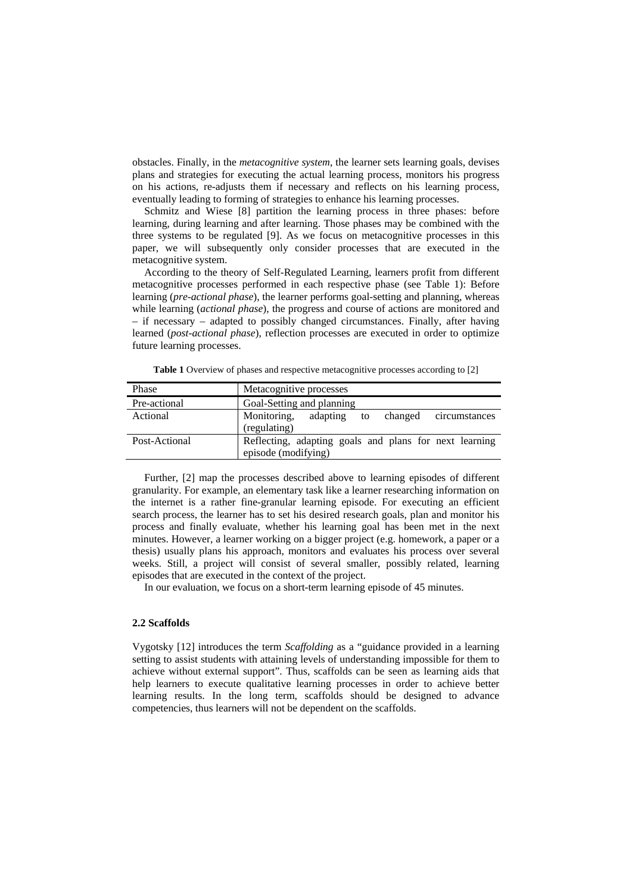obstacles. Finally, in the *metacognitive system*, the learner sets learning goals, devises plans and strategies for executing the actual learning process, monitors his progress on his actions, re-adjusts them if necessary and reflects on his learning process, eventually leading to forming of strategies to enhance his learning processes.

Schmitz and Wiese [8] partition the learning process in three phases: before learning, during learning and after learning. Those phases may be combined with the three systems to be regulated [9]. As we focus on metacognitive processes in this paper, we will subsequently only consider processes that are executed in the metacognitive system.

According to the theory of Self-Regulated Learning, learners profit from different metacognitive processes performed in each respective phase (see Table 1): Before learning (*pre-actional phase*), the learner performs goal-setting and planning, whereas while learning (*actional phase*), the progress and course of actions are monitored and – if necessary – adapted to possibly changed circumstances. Finally, after having learned (*post-actional phase*), reflection processes are executed in order to optimize future learning processes.

| Phase         | Metacognitive processes                                                       |
|---------------|-------------------------------------------------------------------------------|
| Pre-actional  | Goal-Setting and planning                                                     |
| Actional      | Monitoring,<br>adapting<br>changed circumstances<br>to<br>(regulating)        |
| Post-Actional | Reflecting, adapting goals and plans for next learning<br>episode (modifying) |

**Table 1** Overview of phases and respective metacognitive processes according to [2]

Further, [2] map the processes described above to learning episodes of different granularity. For example, an elementary task like a learner researching information on the internet is a rather fine-granular learning episode. For executing an efficient search process, the learner has to set his desired research goals, plan and monitor his process and finally evaluate, whether his learning goal has been met in the next minutes. However, a learner working on a bigger project (e.g. homework, a paper or a thesis) usually plans his approach, monitors and evaluates his process over several weeks. Still, a project will consist of several smaller, possibly related, learning episodes that are executed in the context of the project.

In our evaluation, we focus on a short-term learning episode of 45 minutes.

#### **2.2 Scaffolds**

Vygotsky [12] introduces the term *Scaffolding* as a "guidance provided in a learning setting to assist students with attaining levels of understanding impossible for them to achieve without external support". Thus, scaffolds can be seen as learning aids that help learners to execute qualitative learning processes in order to achieve better learning results. In the long term, scaffolds should be designed to advance competencies, thus learners will not be dependent on the scaffolds.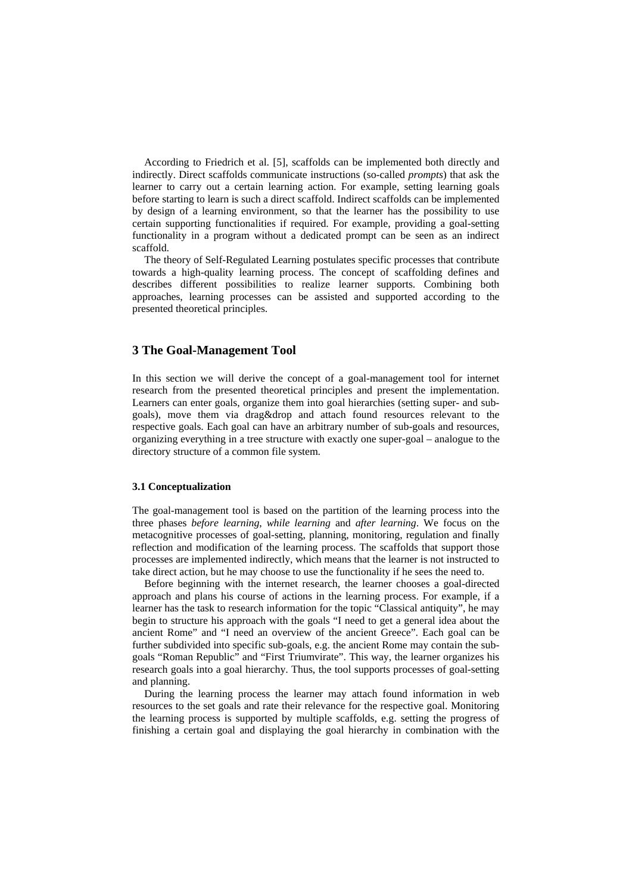According to Friedrich et al. [5], scaffolds can be implemented both directly and indirectly. Direct scaffolds communicate instructions (so-called *prompts*) that ask the learner to carry out a certain learning action. For example, setting learning goals before starting to learn is such a direct scaffold. Indirect scaffolds can be implemented by design of a learning environment, so that the learner has the possibility to use certain supporting functionalities if required. For example, providing a goal-setting functionality in a program without a dedicated prompt can be seen as an indirect scaffold.

The theory of Self-Regulated Learning postulates specific processes that contribute towards a high-quality learning process. The concept of scaffolding defines and describes different possibilities to realize learner supports. Combining both approaches, learning processes can be assisted and supported according to the presented theoretical principles.

### **3 The Goal-Management Tool**

In this section we will derive the concept of a goal-management tool for internet research from the presented theoretical principles and present the implementation. Learners can enter goals, organize them into goal hierarchies (setting super- and subgoals), move them via drag&drop and attach found resources relevant to the respective goals. Each goal can have an arbitrary number of sub-goals and resources, organizing everything in a tree structure with exactly one super-goal – analogue to the directory structure of a common file system.

#### **3.1 Conceptualization**

The goal-management tool is based on the partition of the learning process into the three phases *before learning*, *while learning* and *after learning*. We focus on the metacognitive processes of goal-setting, planning, monitoring, regulation and finally reflection and modification of the learning process. The scaffolds that support those processes are implemented indirectly, which means that the learner is not instructed to take direct action, but he may choose to use the functionality if he sees the need to.

Before beginning with the internet research, the learner chooses a goal-directed approach and plans his course of actions in the learning process. For example, if a learner has the task to research information for the topic "Classical antiquity", he may begin to structure his approach with the goals "I need to get a general idea about the ancient Rome" and "I need an overview of the ancient Greece". Each goal can be further subdivided into specific sub-goals, e.g. the ancient Rome may contain the subgoals "Roman Republic" and "First Triumvirate". This way, the learner organizes his research goals into a goal hierarchy. Thus, the tool supports processes of goal-setting and planning.

During the learning process the learner may attach found information in web resources to the set goals and rate their relevance for the respective goal. Monitoring the learning process is supported by multiple scaffolds, e.g. setting the progress of finishing a certain goal and displaying the goal hierarchy in combination with the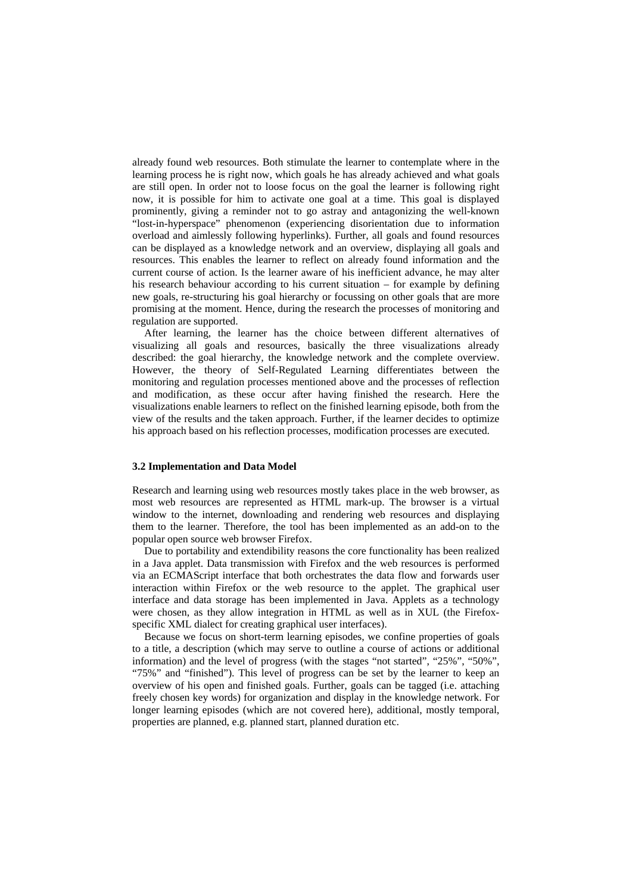already found web resources. Both stimulate the learner to contemplate where in the learning process he is right now, which goals he has already achieved and what goals are still open. In order not to loose focus on the goal the learner is following right now, it is possible for him to activate one goal at a time. This goal is displayed prominently, giving a reminder not to go astray and antagonizing the well-known "lost-in-hyperspace" phenomenon (experiencing disorientation due to information overload and aimlessly following hyperlinks). Further, all goals and found resources can be displayed as a knowledge network and an overview, displaying all goals and resources. This enables the learner to reflect on already found information and the current course of action. Is the learner aware of his inefficient advance, he may alter his research behaviour according to his current situation – for example by defining new goals, re-structuring his goal hierarchy or focussing on other goals that are more promising at the moment. Hence, during the research the processes of monitoring and regulation are supported.

After learning, the learner has the choice between different alternatives of visualizing all goals and resources, basically the three visualizations already described: the goal hierarchy, the knowledge network and the complete overview. However, the theory of Self-Regulated Learning differentiates between the monitoring and regulation processes mentioned above and the processes of reflection and modification, as these occur after having finished the research. Here the visualizations enable learners to reflect on the finished learning episode, both from the view of the results and the taken approach. Further, if the learner decides to optimize his approach based on his reflection processes, modification processes are executed.

#### **3.2 Implementation and Data Model**

Research and learning using web resources mostly takes place in the web browser, as most web resources are represented as HTML mark-up. The browser is a virtual window to the internet, downloading and rendering web resources and displaying them to the learner. Therefore, the tool has been implemented as an add-on to the popular open source web browser Firefox.

Due to portability and extendibility reasons the core functionality has been realized in a Java applet. Data transmission with Firefox and the web resources is performed via an ECMAScript interface that both orchestrates the data flow and forwards user interaction within Firefox or the web resource to the applet. The graphical user interface and data storage has been implemented in Java. Applets as a technology were chosen, as they allow integration in HTML as well as in XUL (the Firefoxspecific XML dialect for creating graphical user interfaces).

Because we focus on short-term learning episodes, we confine properties of goals to a title, a description (which may serve to outline a course of actions or additional information) and the level of progress (with the stages "not started", "25%", "50%", "75%" and "finished"). This level of progress can be set by the learner to keep an overview of his open and finished goals. Further, goals can be tagged (i.e. attaching freely chosen key words) for organization and display in the knowledge network. For longer learning episodes (which are not covered here), additional, mostly temporal, properties are planned, e.g. planned start, planned duration etc.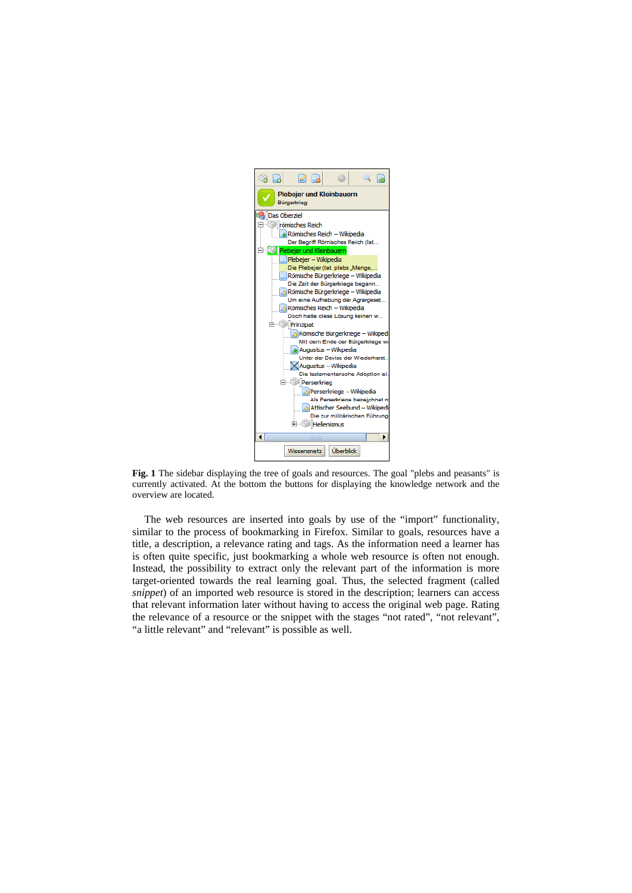

**Fig. 1** The sidebar displaying the tree of goals and resources. The goal "plebs and peasants" is currently activated. At the bottom the buttons for displaying the knowledge network and the overview are located.

The web resources are inserted into goals by use of the "import" functionality, similar to the process of bookmarking in Firefox. Similar to goals, resources have a title, a description, a relevance rating and tags. As the information need a learner has is often quite specific, just bookmarking a whole web resource is often not enough. Instead, the possibility to extract only the relevant part of the information is more target-oriented towards the real learning goal. Thus, the selected fragment (called *snippet*) of an imported web resource is stored in the description; learners can access that relevant information later without having to access the original web page. Rating the relevance of a resource or the snippet with the stages "not rated", "not relevant", "a little relevant" and "relevant" is possible as well.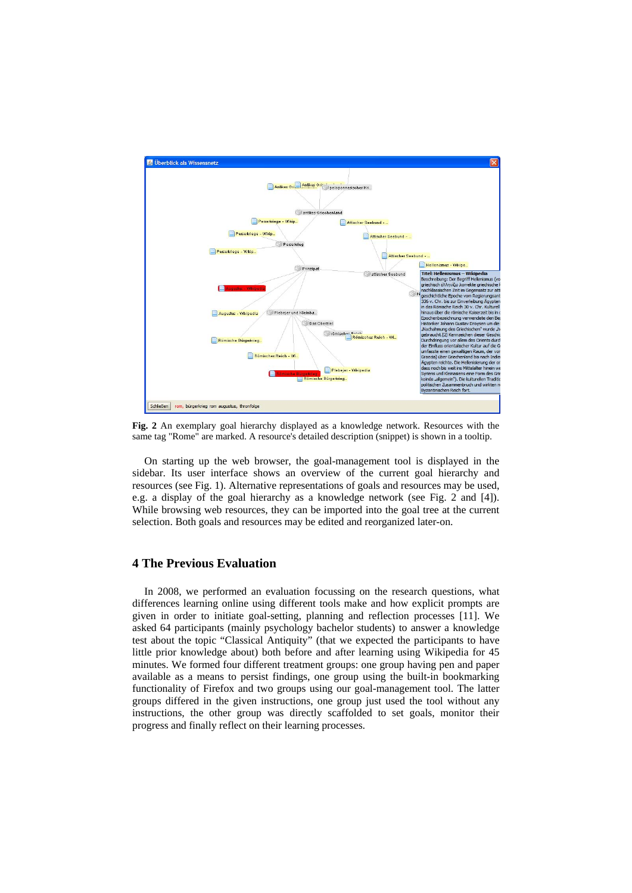

**Fig. 2** An exemplary goal hierarchy displayed as a knowledge network. Resources with the same tag "Rome" are marked. A resource's detailed description (snippet) is shown in a tooltip.

On starting up the web browser, the goal-management tool is displayed in the sidebar. Its user interface shows an overview of the current goal hierarchy and resources (see Fig. 1). Alternative representations of goals and resources may be used, e.g. a display of the goal hierarchy as a knowledge network (see Fig. 2 and [4]). While browsing web resources, they can be imported into the goal tree at the current selection. Both goals and resources may be edited and reorganized later-on.

### **4 The Previous Evaluation**

In 2008, we performed an evaluation focussing on the research questions, what differences learning online using different tools make and how explicit prompts are given in order to initiate goal-setting, planning and reflection processes [11]. We asked 64 participants (mainly psychology bachelor students) to answer a knowledge test about the topic "Classical Antiquity" (that we expected the participants to have little prior knowledge about) both before and after learning using Wikipedia for 45 minutes. We formed four different treatment groups: one group having pen and paper available as a means to persist findings, one group using the built-in bookmarking functionality of Firefox and two groups using our goal-management tool. The latter groups differed in the given instructions, one group just used the tool without any instructions, the other group was directly scaffolded to set goals, monitor their progress and finally reflect on their learning processes.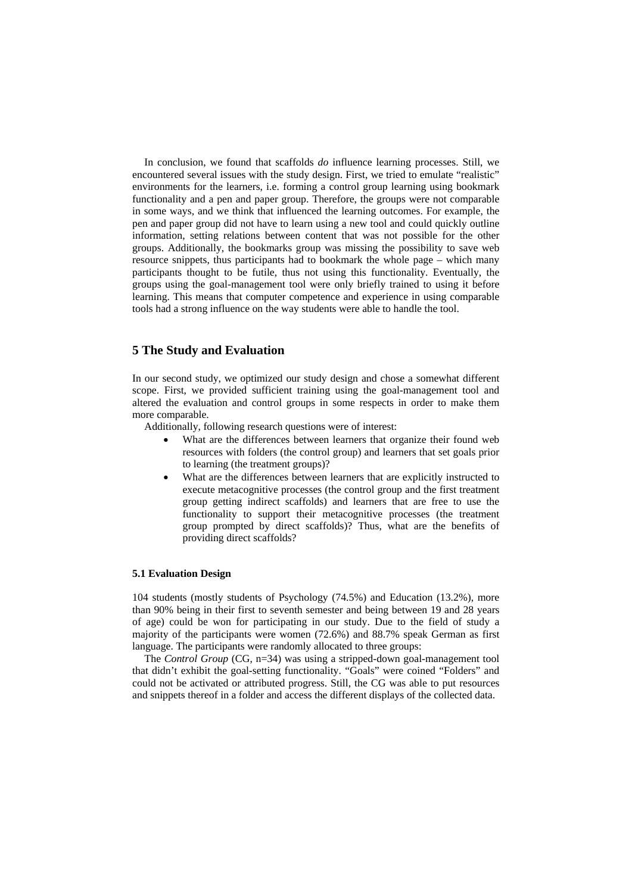In conclusion, we found that scaffolds *do* influence learning processes. Still, we encountered several issues with the study design. First, we tried to emulate "realistic" environments for the learners, i.e. forming a control group learning using bookmark functionality and a pen and paper group. Therefore, the groups were not comparable in some ways, and we think that influenced the learning outcomes. For example, the pen and paper group did not have to learn using a new tool and could quickly outline information, setting relations between content that was not possible for the other groups. Additionally, the bookmarks group was missing the possibility to save web resource snippets, thus participants had to bookmark the whole page – which many participants thought to be futile, thus not using this functionality. Eventually, the groups using the goal-management tool were only briefly trained to using it before learning. This means that computer competence and experience in using comparable tools had a strong influence on the way students were able to handle the tool.

### **5 The Study and Evaluation**

In our second study, we optimized our study design and chose a somewhat different scope. First, we provided sufficient training using the goal-management tool and altered the evaluation and control groups in some respects in order to make them more comparable.

Additionally, following research questions were of interest:

- What are the differences between learners that organize their found web resources with folders (the control group) and learners that set goals prior to learning (the treatment groups)?
- What are the differences between learners that are explicitly instructed to execute metacognitive processes (the control group and the first treatment group getting indirect scaffolds) and learners that are free to use the functionality to support their metacognitive processes (the treatment group prompted by direct scaffolds)? Thus, what are the benefits of providing direct scaffolds?

### **5.1 Evaluation Design**

104 students (mostly students of Psychology (74.5%) and Education (13.2%), more than 90% being in their first to seventh semester and being between 19 and 28 years of age) could be won for participating in our study. Due to the field of study a majority of the participants were women (72.6%) and 88.7% speak German as first language. The participants were randomly allocated to three groups:

The *Control Group* (CG, n=34) was using a stripped-down goal-management tool that didn't exhibit the goal-setting functionality. "Goals" were coined "Folders" and could not be activated or attributed progress. Still, the CG was able to put resources and snippets thereof in a folder and access the different displays of the collected data.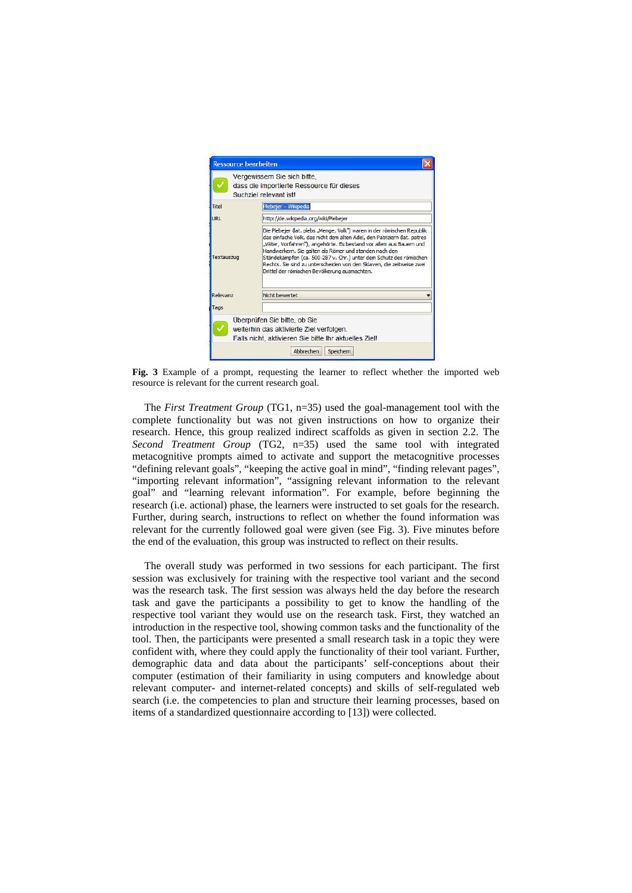

**Fig. 3** Example of a prompt, requesting the learner to reflect whether the imported web resource is relevant for the current research goal.

The *First Treatment Group* (TG1, n=35) used the goal-management tool with the complete functionality but was not given instructions on how to organize their research. Hence, this group realized indirect scaffolds as given in section 2.2. The *Second Treatment Group* (TG2, n=35) used the same tool with integrated metacognitive prompts aimed to activate and support the metacognitive processes "defining relevant goals", "keeping the active goal in mind", "finding relevant pages", "importing relevant information", "assigning relevant information to the relevant goal" and "learning relevant information". For example, before beginning the research (i.e. actional) phase, the learners were instructed to set goals for the research. Further, during search, instructions to reflect on whether the found information was relevant for the currently followed goal were given (see Fig. 3). Five minutes before the end of the evaluation, this group was instructed to reflect on their results.

The overall study was performed in two sessions for each participant. The first session was exclusively for training with the respective tool variant and the second was the research task. The first session was always held the day before the research task and gave the participants a possibility to get to know the handling of the respective tool variant they would use on the research task. First, they watched an introduction in the respective tool, showing common tasks and the functionality of the tool. Then, the participants were presented a small research task in a topic they were confident with, where they could apply the functionality of their tool variant. Further, demographic data and data about the participants' self-conceptions about their computer (estimation of their familiarity in using computers and knowledge about relevant computer- and internet-related concepts) and skills of self-regulated web search (i.e. the competencies to plan and structure their learning processes, based on items of a standardized questionnaire according to [13]) were collected.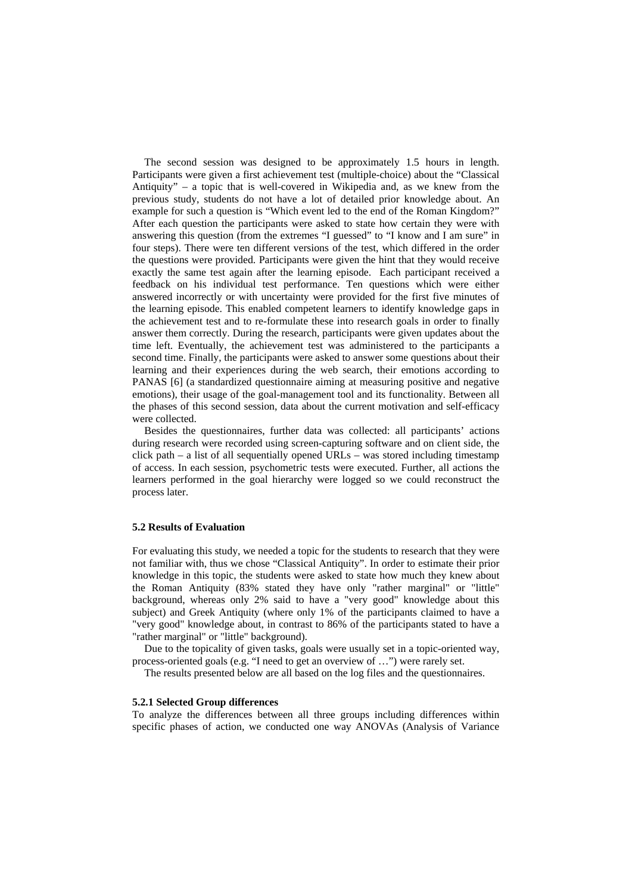The second session was designed to be approximately 1.5 hours in length. Participants were given a first achievement test (multiple-choice) about the "Classical Antiquity" – a topic that is well-covered in Wikipedia and, as we knew from the previous study, students do not have a lot of detailed prior knowledge about. An example for such a question is "Which event led to the end of the Roman Kingdom?" After each question the participants were asked to state how certain they were with answering this question (from the extremes "I guessed" to "I know and I am sure" in four steps). There were ten different versions of the test, which differed in the order the questions were provided. Participants were given the hint that they would receive exactly the same test again after the learning episode. Each participant received a feedback on his individual test performance. Ten questions which were either answered incorrectly or with uncertainty were provided for the first five minutes of the learning episode. This enabled competent learners to identify knowledge gaps in the achievement test and to re-formulate these into research goals in order to finally answer them correctly. During the research, participants were given updates about the time left. Eventually, the achievement test was administered to the participants a second time. Finally, the participants were asked to answer some questions about their learning and their experiences during the web search, their emotions according to PANAS [6] (a standardized questionnaire aiming at measuring positive and negative emotions), their usage of the goal-management tool and its functionality. Between all the phases of this second session, data about the current motivation and self-efficacy were collected.

Besides the questionnaires, further data was collected: all participants' actions during research were recorded using screen-capturing software and on client side, the click path – a list of all sequentially opened URLs – was stored including timestamp of access. In each session, psychometric tests were executed. Further, all actions the learners performed in the goal hierarchy were logged so we could reconstruct the process later.

### **5.2 Results of Evaluation**

For evaluating this study, we needed a topic for the students to research that they were not familiar with, thus we chose "Classical Antiquity". In order to estimate their prior knowledge in this topic, the students were asked to state how much they knew about the Roman Antiquity (83% stated they have only "rather marginal" or "little" background, whereas only 2% said to have a "very good" knowledge about this subject) and Greek Antiquity (where only 1% of the participants claimed to have a "very good" knowledge about, in contrast to 86% of the participants stated to have a "rather marginal" or "little" background).

Due to the topicality of given tasks, goals were usually set in a topic-oriented way, process-oriented goals (e.g. "I need to get an overview of …") were rarely set.

The results presented below are all based on the log files and the questionnaires.

#### **5.2.1 Selected Group differences**

To analyze the differences between all three groups including differences within specific phases of action, we conducted one way ANOVAs (Analysis of Variance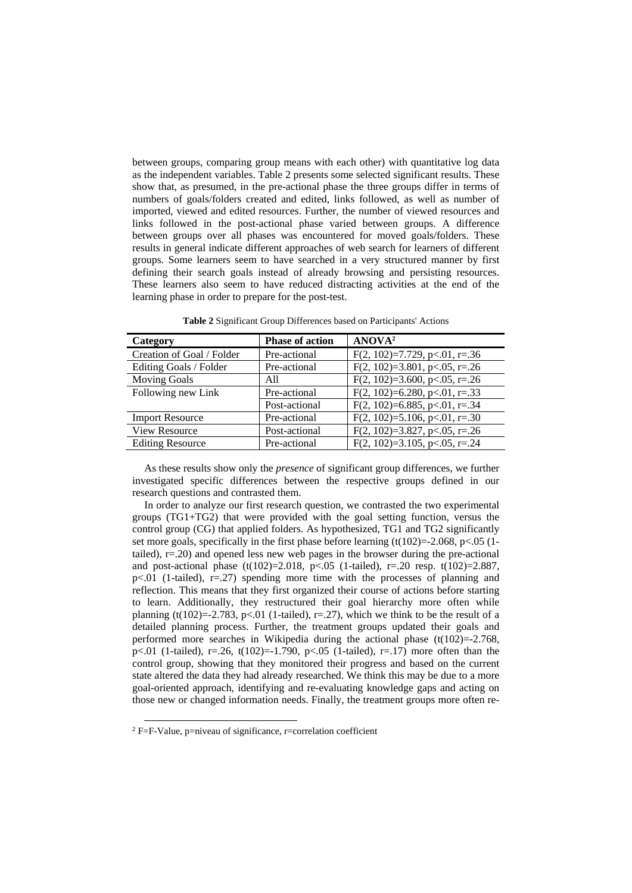between groups, comparing group means with each other) with quantitative log data as the independent variables. Table 2 presents some selected significant results. These show that, as presumed, in the pre-actional phase the three groups differ in terms of numbers of goals/folders created and edited, links followed, as well as number of imported, viewed and edited resources. Further, the number of viewed resources and links followed in the post-actional phase varied between groups. A difference between groups over all phases was encountered for moved goals/folders. These results in general indicate different approaches of web search for learners of different groups. Some learners seem to have searched in a very structured manner by first defining their search goals instead of already browsing and persisting resources. These learners also seem to have reduced distracting activities at the end of the learning phase in order to prepare for the post-test.

| Category                  | <b>Phase of action</b> | ANOVA <sup>2</sup>                       |
|---------------------------|------------------------|------------------------------------------|
| Creation of Goal / Folder | Pre-actional           | $F(2, 102)=7.729$ , p<.01, r=.36         |
| Editing Goals / Folder    | Pre-actional           | $F(2, 102)=3.801$ , p<.05, r=.26         |
| <b>Moving Goals</b>       | All                    | $F(2, 102)=3.600$ , p $< .05$ , r= $.26$ |
| Following new Link        | Pre-actional           | $F(2, 102)=6.280, p<0.1, r=.33$          |
|                           | Post-actional          | $F(2, 102)=6.885$ , p<.01, r=.34         |
| <b>Import Resource</b>    | Pre-actional           | $F(2, 102)=5.106$ , p $< 01$ , r=.30     |
| <b>View Resource</b>      | Post-actional          | $F(2, 102)=3.827, p<.05, r=.26$          |
| <b>Editing Resource</b>   | Pre-actional           | $F(2, 102)=3.105$ , p $< .05$ , r= $.24$ |

**Table 2** Significant Group Differences based on Participants' Actions

As these results show only the *presence* of significant group differences, we further investigated specific differences between the respective groups defined in our research questions and contrasted them.

In order to analyze our first research question, we contrasted the two experimental groups (TG1+TG2) that were provided with the goal setting function, versus the control group (CG) that applied folders. As hypothesized, TG1 and TG2 significantly set more goals, specifically in the first phase before learning  $(t(102)=2.068, p<0.05$  (1tailed),  $r=0.20$  and opened less new web pages in the browser during the pre-actional and post-actional phase  $(t(102)=2.018, p<0.05$  (1-tailed), r=.20 resp.  $t(102)=2.887$ ,  $p\leq 0$  (1-tailed),  $r=27$ ) spending more time with the processes of planning and reflection. This means that they first organized their course of actions before starting to learn. Additionally, they restructured their goal hierarchy more often while planning  $(t(102)=2.783, p<0.01$  (1-tailed), r=.27), which we think to be the result of a detailed planning process. Further, the treatment groups updated their goals and performed more searches in Wikipedia during the actional phase  $(t(102)=2.768$ , p<.01 (1-tailed), r=.26, t(102)=-1.790, p<.05 (1-tailed), r=.17) more often than the control group, showing that they monitored their progress and based on the current state altered the data they had already researched. We think this may be due to a more goal-oriented approach, identifying and re-evaluating knowledge gaps and acting on those new or changed information needs. Finally, the treatment groups more often re-

 $2$  F=F-Value, p=niveau of significance, r=correlation coefficient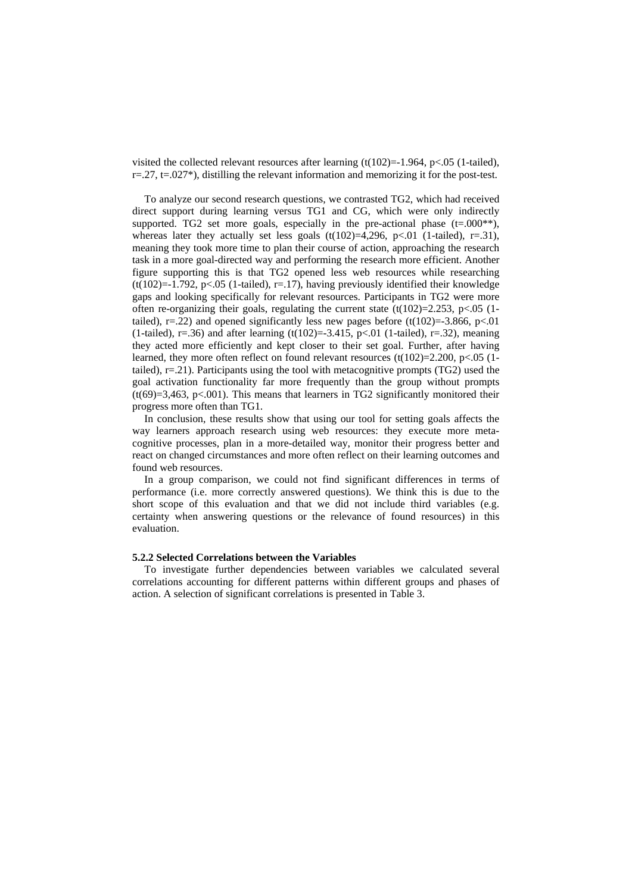visited the collected relevant resources after learning  $(t(102)=1.964, p<.05$  (1-tailed),  $r=.27$ ,  $t=.027^*$ ), distilling the relevant information and memorizing it for the post-test.

To analyze our second research questions, we contrasted TG2, which had received direct support during learning versus TG1 and CG, which were only indirectly supported. TG2 set more goals, especially in the pre-actional phase  $(t=000**)$ , whereas later they actually set less goals  $(t(102)=4,296, p<.01$  (1-tailed), r=.31), meaning they took more time to plan their course of action, approaching the research task in a more goal-directed way and performing the research more efficient. Another figure supporting this is that TG2 opened less web resources while researching  $(t(102)=1.792, p<.05$  (1-tailed), r=.17), having previously identified their knowledge gaps and looking specifically for relevant resources. Participants in TG2 were more often re-organizing their goals, regulating the current state  $(t(102)=2.253, p<.05$  (1tailed), r=.22) and opened significantly less new pages before  $(t(102)=3.866, p<.01$  $(1-tailed)$ ,  $r = .36$  and after learning  $(t(102) = .3.415, p < .01$   $(1-tailed)$ ,  $r = .32$ ), meaning they acted more efficiently and kept closer to their set goal. Further, after having learned, they more often reflect on found relevant resources  $(t(102)=2.200, p<.05$  (1tailed), r=.21). Participants using the tool with metacognitive prompts (TG2) used the goal activation functionality far more frequently than the group without prompts  $(t(69)=3,463, p<.001)$ . This means that learners in TG2 significantly monitored their progress more often than TG1.

In conclusion, these results show that using our tool for setting goals affects the way learners approach research using web resources: they execute more metacognitive processes, plan in a more-detailed way, monitor their progress better and react on changed circumstances and more often reflect on their learning outcomes and found web resources.

In a group comparison, we could not find significant differences in terms of performance (i.e. more correctly answered questions). We think this is due to the short scope of this evaluation and that we did not include third variables (e.g. certainty when answering questions or the relevance of found resources) in this evaluation.

#### **5.2.2 Selected Correlations between the Variables**

To investigate further dependencies between variables we calculated several correlations accounting for different patterns within different groups and phases of action. A selection of significant correlations is presented in Table 3.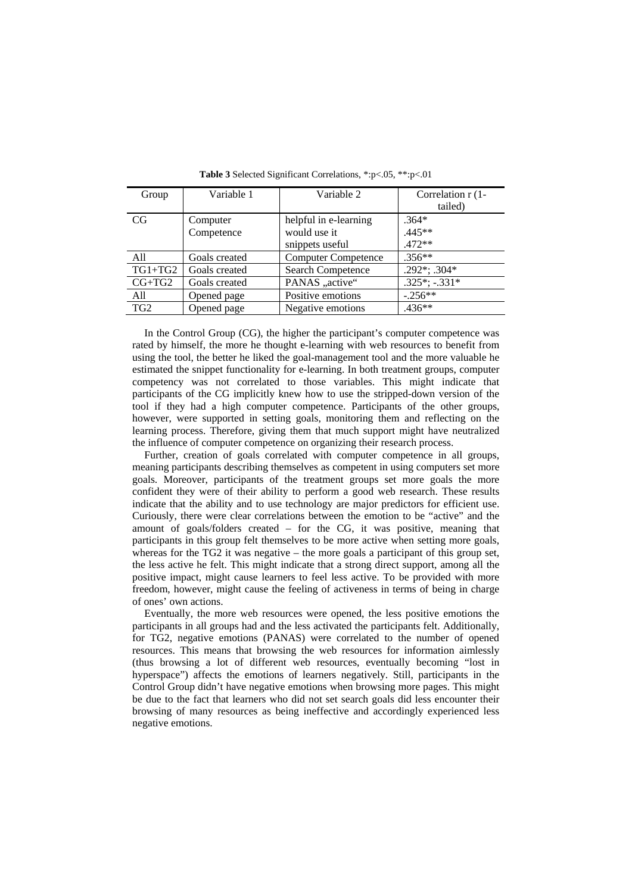| Group           | Variable 1    | Variable 2                 | Correlation r (1-    |
|-----------------|---------------|----------------------------|----------------------|
|                 |               |                            | tailed)              |
| <sub>CG</sub>   | Computer      | helpful in e-learning      | $.364*$              |
|                 | Competence    | would use it               | $.445**$             |
|                 |               | snippets useful            | $.472**$             |
| All             | Goals created | <b>Computer Competence</b> | $.356**$             |
| $TG1+TG2$       | Goals created | Search Competence          | $.292^*$ ; $.304^*$  |
| $CG+TG2$        | Goals created | PANAS "active"             | $.325^*$ ; $-.331^*$ |
| All             | Opened page   | Positive emotions          | $-.256**$            |
| TG <sub>2</sub> | Opened page   | Negative emotions          | $.436**$             |

**Table 3** Selected Significant Correlations, \*:p<.05, \*\*:p<.01

In the Control Group (CG), the higher the participant's computer competence was rated by himself, the more he thought e-learning with web resources to benefit from using the tool, the better he liked the goal-management tool and the more valuable he estimated the snippet functionality for e-learning. In both treatment groups, computer competency was not correlated to those variables. This might indicate that participants of the CG implicitly knew how to use the stripped-down version of the tool if they had a high computer competence. Participants of the other groups, however, were supported in setting goals, monitoring them and reflecting on the learning process. Therefore, giving them that much support might have neutralized the influence of computer competence on organizing their research process.

Further, creation of goals correlated with computer competence in all groups, meaning participants describing themselves as competent in using computers set more goals. Moreover, participants of the treatment groups set more goals the more confident they were of their ability to perform a good web research. These results indicate that the ability and to use technology are major predictors for efficient use. Curiously, there were clear correlations between the emotion to be "active" and the amount of goals/folders created – for the CG, it was positive, meaning that participants in this group felt themselves to be more active when setting more goals, whereas for the  $T<sub>G2</sub>$  it was negative – the more goals a participant of this group set. the less active he felt. This might indicate that a strong direct support, among all the positive impact, might cause learners to feel less active. To be provided with more freedom, however, might cause the feeling of activeness in terms of being in charge of ones' own actions.

Eventually, the more web resources were opened, the less positive emotions the participants in all groups had and the less activated the participants felt. Additionally, for TG2, negative emotions (PANAS) were correlated to the number of opened resources. This means that browsing the web resources for information aimlessly (thus browsing a lot of different web resources, eventually becoming "lost in hyperspace") affects the emotions of learners negatively. Still, participants in the Control Group didn't have negative emotions when browsing more pages. This might be due to the fact that learners who did not set search goals did less encounter their browsing of many resources as being ineffective and accordingly experienced less negative emotions.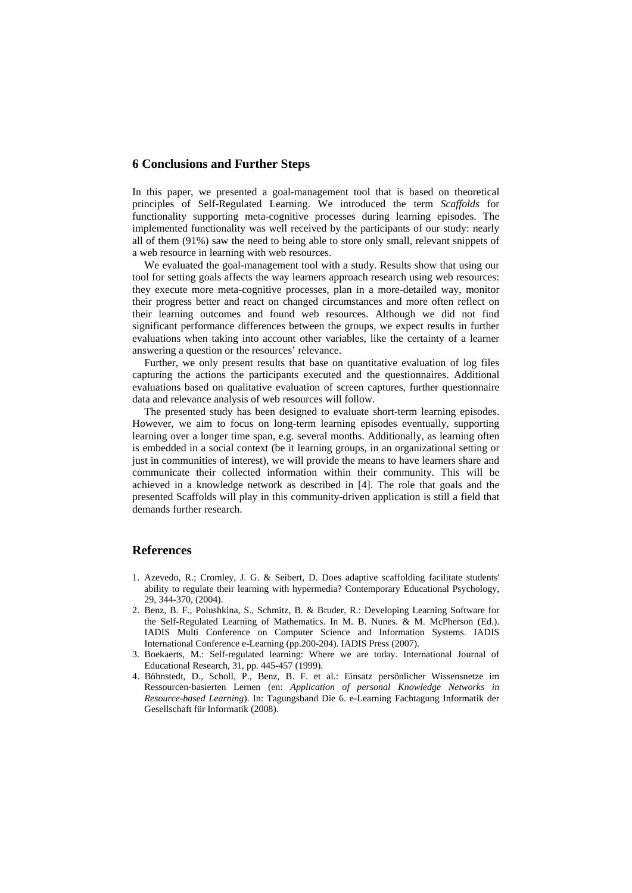### **6 Conclusions and Further Steps**

In this paper, we presented a goal-management tool that is based on theoretical principles of Self-Regulated Learning. We introduced the term *Scaffolds* for functionality supporting meta-cognitive processes during learning episodes. The implemented functionality was well received by the participants of our study: nearly all of them (91%) saw the need to being able to store only small, relevant snippets of a web resource in learning with web resources.

We evaluated the goal-management tool with a study. Results show that using our tool for setting goals affects the way learners approach research using web resources: they execute more meta-cognitive processes, plan in a more-detailed way, monitor their progress better and react on changed circumstances and more often reflect on their learning outcomes and found web resources. Although we did not find significant performance differences between the groups, we expect results in further evaluations when taking into account other variables, like the certainty of a learner answering a question or the resources' relevance.

Further, we only present results that base on quantitative evaluation of log files capturing the actions the participants executed and the questionnaires. Additional evaluations based on qualitative evaluation of screen captures, further questionnaire data and relevance analysis of web resources will follow.

The presented study has been designed to evaluate short-term learning episodes. However, we aim to focus on long-term learning episodes eventually, supporting learning over a longer time span, e.g. several months. Additionally, as learning often is embedded in a social context (be it learning groups, in an organizational setting or just in communities of interest), we will provide the means to have learners share and communicate their collected information within their community. This will be achieved in a knowledge network as described in [4]. The role that goals and the presented Scaffolds will play in this community-driven application is still a field that demands further research.

### **References**

- 1. Azevedo, R.; Cromley, J. G. & Seibert, D. Does adaptive scaffolding facilitate students' ability to regulate their learning with hypermedia? Contemporary Educational Psychology, 29, 344-370, (2004).
- 2. Benz, B. F., Polushkina, S., Schmitz, B. & Bruder, R.: Developing Learning Software for the Self-Regulated Learning of Mathematics. In M. B. Nunes. & M. McPherson (Ed.). IADIS Multi Conference on Computer Science and Information Systems. IADIS International Conference e-Learning (pp.200-204). IADIS Press (2007).
- 3. Boekaerts, M.: Self-regulated learning: Where we are today. International Journal of Educational Research, 31, pp. 445-457 (1999).
- 4. Böhnstedt, D., Scholl, P., Benz, B. F. et al.: Einsatz persönlicher Wissensnetze im Ressourcen-basierten Lernen (en: *Application of personal Knowledge Networks in Resource-based Learning*). In: Tagungsband Die 6. e-Learning Fachtagung Informatik der Gesellschaft für Informatik (2008).